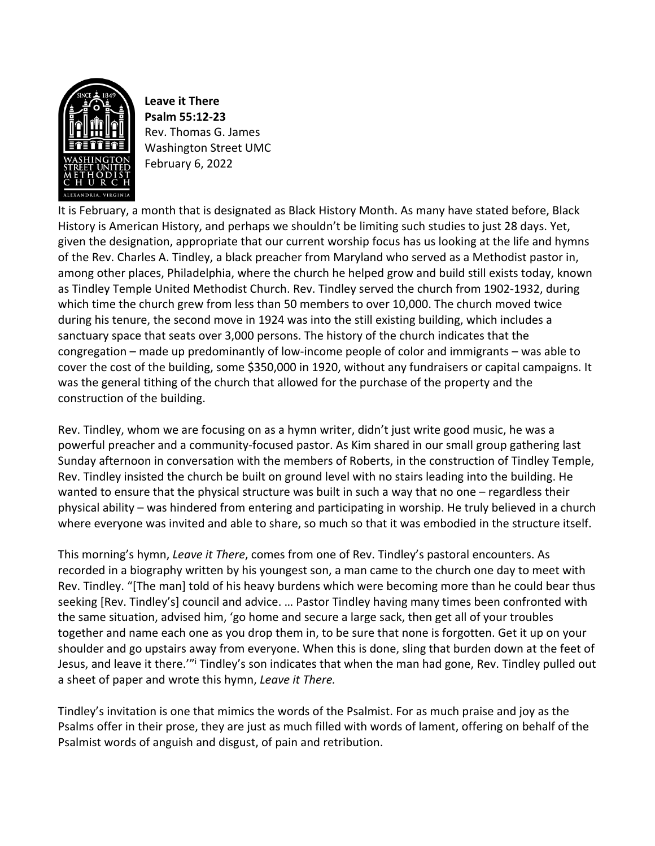

**Leave it There Psalm 55:12-23** Rev. Thomas G. James Washington Street UMC February 6, 2022

It is February, a month that is designated as Black History Month. As many have stated before, Black History is American History, and perhaps we shouldn't be limiting such studies to just 28 days. Yet, given the designation, appropriate that our current worship focus has us looking at the life and hymns of the Rev. Charles A. Tindley, a black preacher from Maryland who served as a Methodist pastor in, among other places, Philadelphia, where the church he helped grow and build still exists today, known as Tindley Temple United Methodist Church. Rev. Tindley served the church from 1902-1932, during which time the church grew from less than 50 members to over 10,000. The church moved twice during his tenure, the second move in 1924 was into the still existing building, which includes a sanctuary space that seats over 3,000 persons. The history of the church indicates that the congregation – made up predominantly of low-income people of color and immigrants – was able to cover the cost of the building, some \$350,000 in 1920, without any fundraisers or capital campaigns. It was the general tithing of the church that allowed for the purchase of the property and the construction of the building.

Rev. Tindley, whom we are focusing on as a hymn writer, didn't just write good music, he was a powerful preacher and a community-focused pastor. As Kim shared in our small group gathering last Sunday afternoon in conversation with the members of Roberts, in the construction of Tindley Temple, Rev. Tindley insisted the church be built on ground level with no stairs leading into the building. He wanted to ensure that the physical structure was built in such a way that no one – regardless their physical ability – was hindered from entering and participating in worship. He truly believed in a church where everyone was invited and able to share, so much so that it was embodied in the structure itself.

This morning's hymn, *Leave it There*, comes from one of Rev. Tindley's pastoral encounters. As recorded in a biography written by his youngest son, a man came to the church one day to meet with Rev. Tindley. "[The man] told of his heavy burdens which were becoming more than he could bear thus seeking [Rev. Tindley's] council and advice. … Pastor Tindley having many times been confronted with the same situation, advised him, 'go home and secure a large sack, then get all of your troubles together and name each one as you drop them in, to be sure that none is forgotten. Get it up on your shoulder and go upstairs away from everyone. When this is done, sling that burden down at the feet of Jesus, and leave it there."<sup>i</sup> Tindley's son indicates that when the man had gone, Rev. Tindley pulled out a sheet of paper and wrote this hymn, *Leave it There.*

Tindley's invitation is one that mimics the words of the Psalmist. For as much praise and joy as the Psalms offer in their prose, they are just as much filled with words of lament, offering on behalf of the Psalmist words of anguish and disgust, of pain and retribution.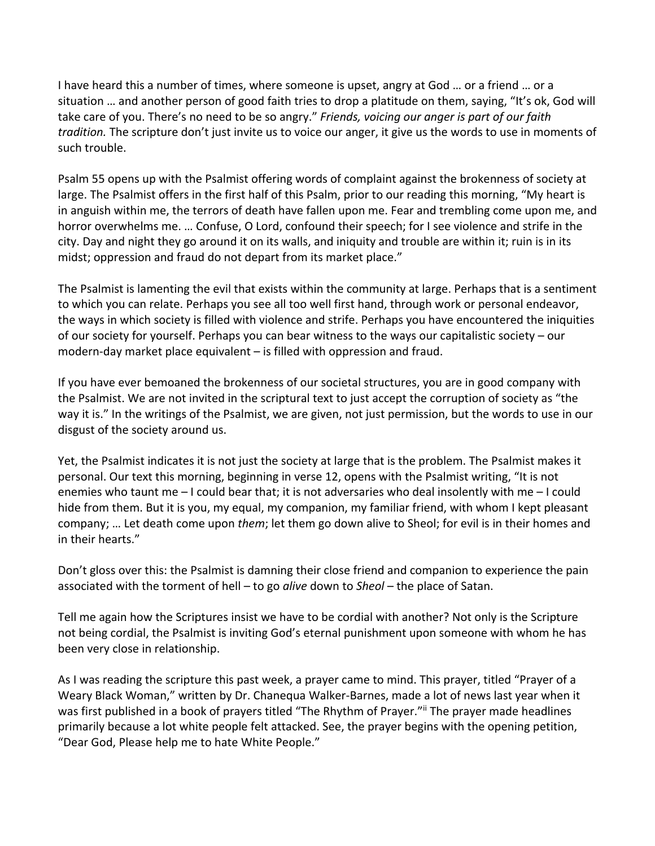I have heard this a number of times, where someone is upset, angry at God … or a friend … or a situation … and another person of good faith tries to drop a platitude on them, saying, "It's ok, God will take care of you. There's no need to be so angry." *Friends, voicing our anger is part of our faith tradition.* The scripture don't just invite us to voice our anger, it give us the words to use in moments of such trouble.

Psalm 55 opens up with the Psalmist offering words of complaint against the brokenness of society at large. The Psalmist offers in the first half of this Psalm, prior to our reading this morning, "My heart is in anguish within me, the terrors of death have fallen upon me. Fear and trembling come upon me, and horror overwhelms me. … Confuse, O Lord, confound their speech; for I see violence and strife in the city. Day and night they go around it on its walls, and iniquity and trouble are within it; ruin is in its midst; oppression and fraud do not depart from its market place."

The Psalmist is lamenting the evil that exists within the community at large. Perhaps that is a sentiment to which you can relate. Perhaps you see all too well first hand, through work or personal endeavor, the ways in which society is filled with violence and strife. Perhaps you have encountered the iniquities of our society for yourself. Perhaps you can bear witness to the ways our capitalistic society – our modern-day market place equivalent – is filled with oppression and fraud.

If you have ever bemoaned the brokenness of our societal structures, you are in good company with the Psalmist. We are not invited in the scriptural text to just accept the corruption of society as "the way it is." In the writings of the Psalmist, we are given, not just permission, but the words to use in our disgust of the society around us.

Yet, the Psalmist indicates it is not just the society at large that is the problem. The Psalmist makes it personal. Our text this morning, beginning in verse 12, opens with the Psalmist writing, "It is not enemies who taunt me – I could bear that; it is not adversaries who deal insolently with me – I could hide from them. But it is you, my equal, my companion, my familiar friend, with whom I kept pleasant company; … Let death come upon *them*; let them go down alive to Sheol; for evil is in their homes and in their hearts."

Don't gloss over this: the Psalmist is damning their close friend and companion to experience the pain associated with the torment of hell – to go *alive* down to *Sheol* – the place of Satan.

Tell me again how the Scriptures insist we have to be cordial with another? Not only is the Scripture not being cordial, the Psalmist is inviting God's eternal punishment upon someone with whom he has been very close in relationship.

As I was reading the scripture this past week, a prayer came to mind. This prayer, titled "Prayer of a Weary Black Woman," written by Dr. Chanequa Walker-Barnes, made a lot of news last year when it was first published in a book of prayers titled "The Rhythm of Prayer." The prayer made headlines primarily because a lot white people felt attacked. See, the prayer begins with the opening petition, "Dear God, Please help me to hate White People."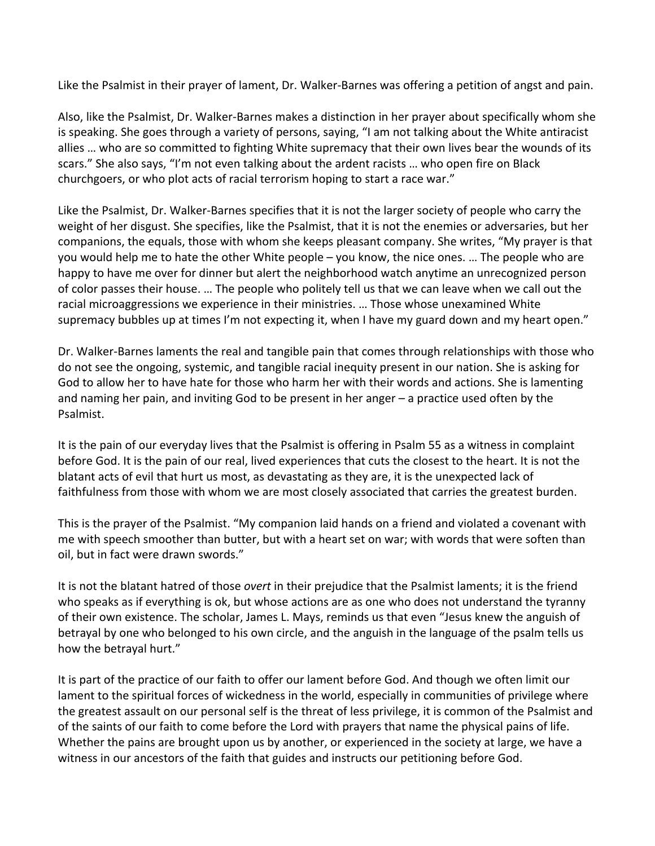Like the Psalmist in their prayer of lament, Dr. Walker-Barnes was offering a petition of angst and pain.

Also, like the Psalmist, Dr. Walker-Barnes makes a distinction in her prayer about specifically whom she is speaking. She goes through a variety of persons, saying, "I am not talking about the White antiracist allies … who are so committed to fighting White supremacy that their own lives bear the wounds of its scars." She also says, "I'm not even talking about the ardent racists … who open fire on Black churchgoers, or who plot acts of racial terrorism hoping to start a race war."

Like the Psalmist, Dr. Walker-Barnes specifies that it is not the larger society of people who carry the weight of her disgust. She specifies, like the Psalmist, that it is not the enemies or adversaries, but her companions, the equals, those with whom she keeps pleasant company. She writes, "My prayer is that you would help me to hate the other White people – you know, the nice ones. … The people who are happy to have me over for dinner but alert the neighborhood watch anytime an unrecognized person of color passes their house. … The people who politely tell us that we can leave when we call out the racial microaggressions we experience in their ministries. … Those whose unexamined White supremacy bubbles up at times I'm not expecting it, when I have my guard down and my heart open."

Dr. Walker-Barnes laments the real and tangible pain that comes through relationships with those who do not see the ongoing, systemic, and tangible racial inequity present in our nation. She is asking for God to allow her to have hate for those who harm her with their words and actions. She is lamenting and naming her pain, and inviting God to be present in her anger – a practice used often by the Psalmist.

It is the pain of our everyday lives that the Psalmist is offering in Psalm 55 as a witness in complaint before God. It is the pain of our real, lived experiences that cuts the closest to the heart. It is not the blatant acts of evil that hurt us most, as devastating as they are, it is the unexpected lack of faithfulness from those with whom we are most closely associated that carries the greatest burden.

This is the prayer of the Psalmist. "My companion laid hands on a friend and violated a covenant with me with speech smoother than butter, but with a heart set on war; with words that were soften than oil, but in fact were drawn swords."

It is not the blatant hatred of those *overt* in their prejudice that the Psalmist laments; it is the friend who speaks as if everything is ok, but whose actions are as one who does not understand the tyranny of their own existence. The scholar, James L. Mays, reminds us that even "Jesus knew the anguish of betrayal by one who belonged to his own circle, and the anguish in the language of the psalm tells us how the betrayal hurt."

It is part of the practice of our faith to offer our lament before God. And though we often limit our lament to the spiritual forces of wickedness in the world, especially in communities of privilege where the greatest assault on our personal self is the threat of less privilege, it is common of the Psalmist and of the saints of our faith to come before the Lord with prayers that name the physical pains of life. Whether the pains are brought upon us by another, or experienced in the society at large, we have a witness in our ancestors of the faith that guides and instructs our petitioning before God.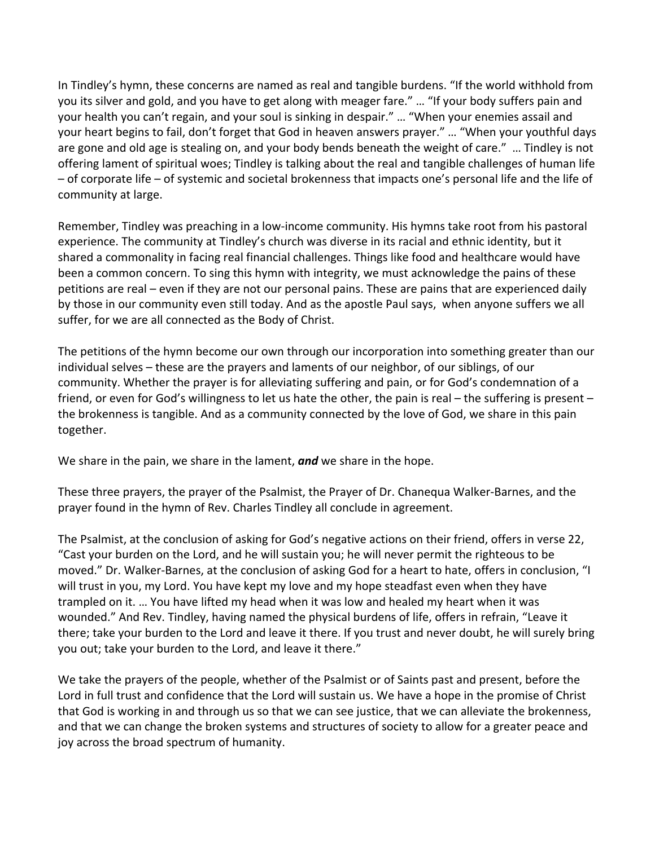In Tindley's hymn, these concerns are named as real and tangible burdens. "If the world withhold from you its silver and gold, and you have to get along with meager fare." … "If your body suffers pain and your health you can't regain, and your soul is sinking in despair." … "When your enemies assail and your heart begins to fail, don't forget that God in heaven answers prayer." … "When your youthful days are gone and old age is stealing on, and your body bends beneath the weight of care." … Tindley is not offering lament of spiritual woes; Tindley is talking about the real and tangible challenges of human life – of corporate life – of systemic and societal brokenness that impacts one's personal life and the life of community at large.

Remember, Tindley was preaching in a low-income community. His hymns take root from his pastoral experience. The community at Tindley's church was diverse in its racial and ethnic identity, but it shared a commonality in facing real financial challenges. Things like food and healthcare would have been a common concern. To sing this hymn with integrity, we must acknowledge the pains of these petitions are real – even if they are not our personal pains. These are pains that are experienced daily by those in our community even still today. And as the apostle Paul says, when anyone suffers we all suffer, for we are all connected as the Body of Christ.

The petitions of the hymn become our own through our incorporation into something greater than our individual selves – these are the prayers and laments of our neighbor, of our siblings, of our community. Whether the prayer is for alleviating suffering and pain, or for God's condemnation of a friend, or even for God's willingness to let us hate the other, the pain is real – the suffering is present – the brokenness is tangible. And as a community connected by the love of God, we share in this pain together.

We share in the pain, we share in the lament, *and* we share in the hope.

These three prayers, the prayer of the Psalmist, the Prayer of Dr. Chanequa Walker-Barnes, and the prayer found in the hymn of Rev. Charles Tindley all conclude in agreement.

The Psalmist, at the conclusion of asking for God's negative actions on their friend, offers in verse 22, "Cast your burden on the Lord, and he will sustain you; he will never permit the righteous to be moved." Dr. Walker-Barnes, at the conclusion of asking God for a heart to hate, offers in conclusion, "I will trust in you, my Lord. You have kept my love and my hope steadfast even when they have trampled on it. … You have lifted my head when it was low and healed my heart when it was wounded." And Rev. Tindley, having named the physical burdens of life, offers in refrain, "Leave it there; take your burden to the Lord and leave it there. If you trust and never doubt, he will surely bring you out; take your burden to the Lord, and leave it there."

We take the prayers of the people, whether of the Psalmist or of Saints past and present, before the Lord in full trust and confidence that the Lord will sustain us. We have a hope in the promise of Christ that God is working in and through us so that we can see justice, that we can alleviate the brokenness, and that we can change the broken systems and structures of society to allow for a greater peace and joy across the broad spectrum of humanity.